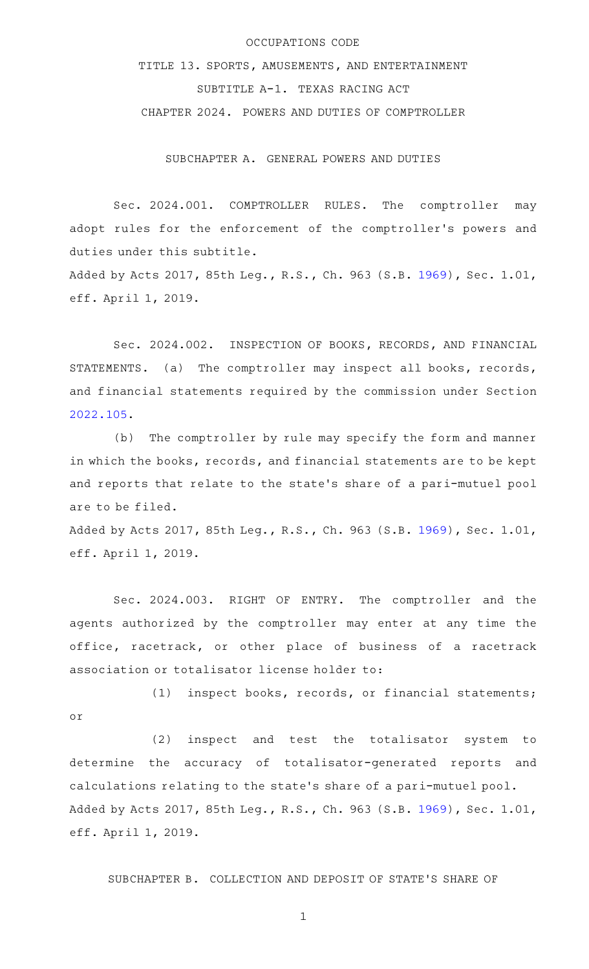## OCCUPATIONS CODE

TITLE 13. SPORTS, AMUSEMENTS, AND ENTERTAINMENT SUBTITLE A-1. TEXAS RACING ACT CHAPTER 2024. POWERS AND DUTIES OF COMPTROLLER

SUBCHAPTER A. GENERAL POWERS AND DUTIES

Sec. 2024.001. COMPTROLLER RULES. The comptroller may adopt rules for the enforcement of the comptroller 's powers and duties under this subtitle. Added by Acts 2017, 85th Leg., R.S., Ch. 963 (S.B. [1969](http://www.legis.state.tx.us/tlodocs/85R/billtext/html/SB01969F.HTM)), Sec. 1.01,

eff. April 1, 2019.

Sec. 2024.002. INSPECTION OF BOOKS, RECORDS, AND FINANCIAL STATEMENTS. (a) The comptroller may inspect all books, records, and financial statements required by the commission under Section [2022.105](http://www.statutes.legis.state.tx.us/GetStatute.aspx?Code=OC&Value=2022.105).

(b) The comptroller by rule may specify the form and manner in which the books, records, and financial statements are to be kept and reports that relate to the state 's share of a pari-mutuel pool are to be filed.

Added by Acts 2017, 85th Leg., R.S., Ch. 963 (S.B. [1969](http://www.legis.state.tx.us/tlodocs/85R/billtext/html/SB01969F.HTM)), Sec. 1.01, eff. April 1, 2019.

Sec. 2024.003. RIGHT OF ENTRY. The comptroller and the agents authorized by the comptroller may enter at any time the office, racetrack, or other place of business of a racetrack association or totalisator license holder to:

 $(1)$  inspect books, records, or financial statements; or

(2) inspect and test the totalisator system to determine the accuracy of totalisator-generated reports and calculations relating to the state 's share of a pari-mutuel pool. Added by Acts 2017, 85th Leg., R.S., Ch. 963 (S.B. [1969](http://www.legis.state.tx.us/tlodocs/85R/billtext/html/SB01969F.HTM)), Sec. 1.01, eff. April 1, 2019.

SUBCHAPTER B. COLLECTION AND DEPOSIT OF STATE 'S SHARE OF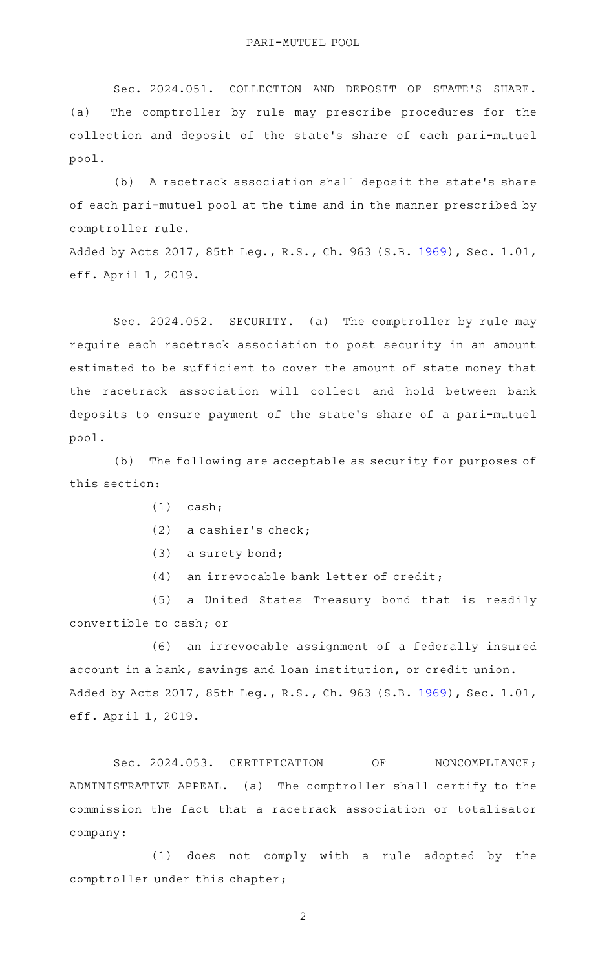Sec. 2024.051. COLLECTION AND DEPOSIT OF STATE'S SHARE. (a) The comptroller by rule may prescribe procedures for the collection and deposit of the state's share of each pari-mutuel pool.

(b) A racetrack association shall deposit the state's share of each pari-mutuel pool at the time and in the manner prescribed by comptroller rule.

Added by Acts 2017, 85th Leg., R.S., Ch. 963 (S.B. [1969](http://www.legis.state.tx.us/tlodocs/85R/billtext/html/SB01969F.HTM)), Sec. 1.01, eff. April 1, 2019.

Sec. 2024.052. SECURITY. (a) The comptroller by rule may require each racetrack association to post security in an amount estimated to be sufficient to cover the amount of state money that the racetrack association will collect and hold between bank deposits to ensure payment of the state 's share of a pari-mutuel pool.

(b) The following are acceptable as security for purposes of this section:

- $(1)$  cash;
- (2) a cashier's check;
- (3) a surety bond;
- $(4)$  an irrevocable bank letter of credit;

(5) a United States Treasury bond that is readily convertible to cash; or

(6) an irrevocable assignment of a federally insured account in a bank, savings and loan institution, or credit union. Added by Acts 2017, 85th Leg., R.S., Ch. 963 (S.B. [1969](http://www.legis.state.tx.us/tlodocs/85R/billtext/html/SB01969F.HTM)), Sec. 1.01, eff. April 1, 2019.

Sec. 2024.053. CERTIFICATION OF NONCOMPLIANCE; ADMINISTRATIVE APPEAL. (a) The comptroller shall certify to the commission the fact that a racetrack association or totalisator company:

(1) does not comply with a rule adopted by the comptroller under this chapter;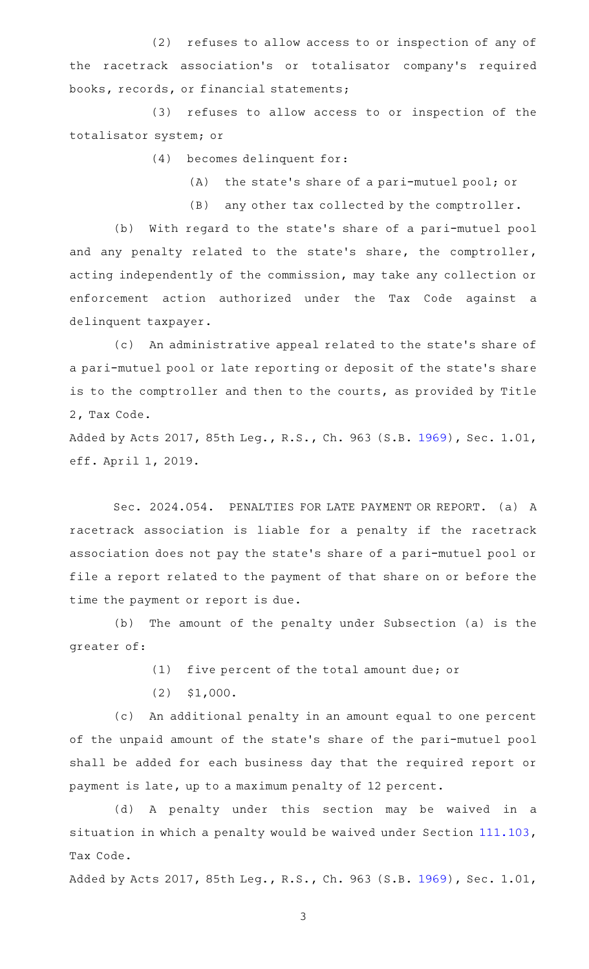(2) refuses to allow access to or inspection of any of the racetrack association 's or totalisator company 's required books, records, or financial statements;

(3) refuses to allow access to or inspection of the totalisator system; or

(4) becomes delinquent for:

 $(A)$  the state's share of a pari-mutuel pool; or

(B) any other tax collected by the comptroller.

(b) With regard to the state's share of a pari-mutuel pool and any penalty related to the state's share, the comptroller, acting independently of the commission, may take any collection or enforcement action authorized under the Tax Code against a delinquent taxpayer.

(c) An administrative appeal related to the state's share of a pari-mutuel pool or late reporting or deposit of the state 's share is to the comptroller and then to the courts, as provided by Title 2, Tax Code.

Added by Acts 2017, 85th Leg., R.S., Ch. 963 (S.B. [1969](http://www.legis.state.tx.us/tlodocs/85R/billtext/html/SB01969F.HTM)), Sec. 1.01, eff. April 1, 2019.

Sec. 2024.054. PENALTIES FOR LATE PAYMENT OR REPORT. (a) A racetrack association is liable for a penalty if the racetrack association does not pay the state 's share of a pari-mutuel pool or file a report related to the payment of that share on or before the time the payment or report is due.

(b) The amount of the penalty under Subsection (a) is the greater of:

(1) five percent of the total amount due; or

 $(2)$   $$1,000.$ 

(c) An additional penalty in an amount equal to one percent of the unpaid amount of the state 's share of the pari-mutuel pool shall be added for each business day that the required report or payment is late, up to a maximum penalty of 12 percent.

(d) A penalty under this section may be waived in a situation in which a penalty would be waived under Section [111.103](http://www.statutes.legis.state.tx.us/GetStatute.aspx?Code=TX&Value=111.103), Tax Code.

Added by Acts 2017, 85th Leg., R.S., Ch. 963 (S.B. [1969](http://www.legis.state.tx.us/tlodocs/85R/billtext/html/SB01969F.HTM)), Sec. 1.01,